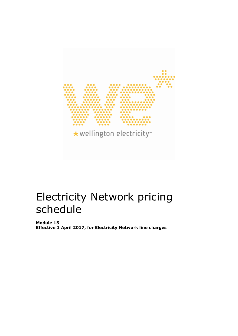

# Electricity Network pricing schedule

**Module 15 Effective 1 April 2017, for Electricity Network line charges**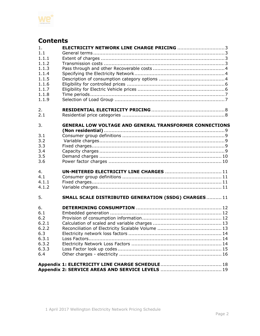

# **Contents**

| 1.    | <b>ELECTRICITY NETWORK LINE CHARGE PRICING 3</b>               |
|-------|----------------------------------------------------------------|
| 1.1   |                                                                |
| 1.1.1 |                                                                |
| 1.1.2 |                                                                |
| 1.1.3 |                                                                |
| 1.1.4 |                                                                |
| 1.1.5 |                                                                |
| 1.1.6 |                                                                |
| 1.1.7 |                                                                |
| 1.1.8 |                                                                |
| 1.1.9 |                                                                |
|       |                                                                |
| 2.    |                                                                |
| 2.1   |                                                                |
|       |                                                                |
| 3.    | <b>GENERAL LOW VOLTAGE AND GENERAL TRANSFORMER CONNECTIONS</b> |
|       |                                                                |
| 3.1   |                                                                |
| 3.2   |                                                                |
| 3.3   |                                                                |
| 3.4   |                                                                |
| 3.5   |                                                                |
| 3.6   |                                                                |
| 4.    |                                                                |
| 4.1   |                                                                |
| 4.1.1 |                                                                |
| 4.1.2 |                                                                |
|       |                                                                |
| 5.    | SMALL SCALE DISTRIBUTED GENERATION (SSDG) CHARGES11            |
| 6.    |                                                                |
| 6.1   |                                                                |
| 6.2   |                                                                |
| 6.2.1 |                                                                |
| 6.2.2 |                                                                |
| 6.3   |                                                                |
| 6.3.1 |                                                                |
| 6.3.2 |                                                                |
| 6.3.3 |                                                                |
| 6.4   |                                                                |
|       |                                                                |
|       |                                                                |
|       |                                                                |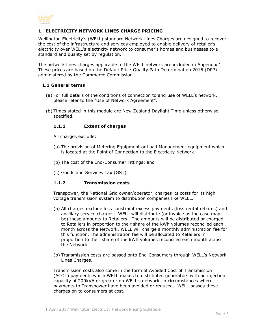

# <span id="page-2-0"></span>**1. ELECTRICITY NETWORK LINES CHARGE PRICING**

Wellington Electricity's (WELL) standard Network Lines Charges are designed to recover the cost of the infrastructure and services employed to enable delivery of retailer's electricity over WELL's electricity network to consumer's homes and businesses to a standard and quality set by regulation.

The network lines charges applicable to the WELL network are included in Appendix 1. These prices are based on the Default Price-Quality Path Determination 2015 (DPP) administered by the Commerce Commission.

#### <span id="page-2-1"></span>**1.1 General terms**

- (a) For full details of the conditions of connection to and use of WELL's network, please refer to the "Use of Network Agreement".
- <span id="page-2-2"></span>(b) Times stated in this module are New Zealand Daylight Time unless otherwise specified.

#### **1.1.1 Extent of charges**

All charges exclude:

- (a) The provision of Metering Equipment or Load Management equipment which is located at the Point of Connection to the Electricity Network;
- (b) The cost of the End-Consumer Fittings; and
- (c) Goods and Services Tax (GST).

#### <span id="page-2-3"></span>**1.1.2 Transmission costs**

Transpower, the National Grid owner/operator, charges its costs for its high voltage transmission system to distribution companies like WELL.

- (a) All charges exclude loss constraint excess payments (loss rental rebates) and ancillary service charges. WELL will distribute (or invoice as the case may be) these amounts to Retailers. The amounts will be distributed or charged to Retailers in proportion to their share of the kWh volumes reconciled each month across the Network. WELL will charge a monthly administration fee for this function. The administration fee will be allocated to Retailers in proportion to their share of the kWh volumes reconciled each month across the Network.
- (b) Transmission costs are passed onto End-Consumers through WELL's Network Lines Charges.

Transmission costs also come in the form of Avoided Cost of Transmission (ACOT) payments which WELL makes to distributed generators with an injection capacity of 200kVA or greater on WELL's network, in circumstances where payments to Transpower have been avoided or reduced. WELL passes these charges on to consumers at cost.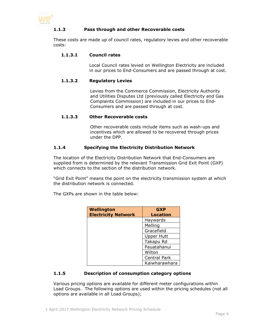<span id="page-3-0"></span>

# **1.1.3 Pass through and other Recoverable costs**

These costs are made up of council rates, regulatory levies and other recoverable costs:

#### **1.1.3.1 Council rates**

Local Council rates levied on Wellington Electricity are included in our prices to End-Consumers and are passed through at cost.

#### **1.1.3.2 Regulatory Levies**

Levies from the Commerce Commission, Electricity Authority and Utilities Disputes Ltd (previously called Electricity and Gas Complaints Commission) are included in our prices to End-Consumers and are passed through at cost.

#### **1.1.3.3 Other Recoverable costs**

Other recoverable costs include items such as wash-ups and incentives which are allowed to be recovered through prices under the DPP.

# <span id="page-3-1"></span>**1.1.4 Specifying the Electricity Distribution Network**

The location of the Electricity Distribution Network that End-Consumers are supplied from is determined by the relevant Transmission Grid Exit Point (GXP) which connects to the section of the distribution network.

"Grid Exit Point" means the point on the electricity transmission system at which the distribution network is connected.

The GXPs are shown in the table below:

| <b>Wellington</b>          | <b>GXP</b>          |
|----------------------------|---------------------|
| <b>Electricity Network</b> | <b>Location</b>     |
|                            | Haywards            |
|                            | Melling             |
|                            | Gracefield          |
|                            | <b>Upper Hutt</b>   |
|                            | Takapu Rd           |
|                            | Pauatahanui         |
|                            | Wilton              |
|                            | <b>Central Park</b> |
|                            | Kaiwharawhara       |

# <span id="page-3-2"></span>**1.1.5 Description of consumption category options**

Various pricing options are available for different meter configurations within Load Groups. The following options are used within the pricing schedules (not all options are available in all Load Groups);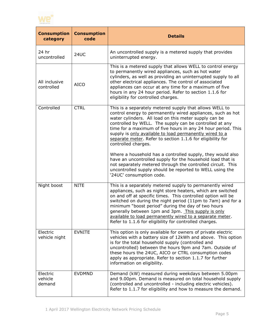

| <b>Consumption</b><br>category | <b>Consumption</b><br>code | <b>Details</b>                                                                                                                                                                                                                                                                                                                                                                                                                                                                           |
|--------------------------------|----------------------------|------------------------------------------------------------------------------------------------------------------------------------------------------------------------------------------------------------------------------------------------------------------------------------------------------------------------------------------------------------------------------------------------------------------------------------------------------------------------------------------|
| 24 hr<br>uncontrolled          | 24UC                       | An uncontrolled supply is a metered supply that provides<br>uninterrupted energy.                                                                                                                                                                                                                                                                                                                                                                                                        |
| All inclusive<br>controlled    | <b>AICO</b>                | This is a metered supply that allows WELL to control energy<br>to permanently wired appliances, such as hot water<br>cylinders, as well as providing an uninterrupted supply to all<br>other electrical appliances. The control of associated<br>appliances can occur at any time for a maximum of five<br>hours in any 24 hour period. Refer to section 1.1.6 for<br>eligibility for controlled charges.                                                                                |
| Controlled                     | <b>CTRL</b>                | This is a separately metered supply that allows WELL to<br>control energy to permanently wired appliances, such as hot<br>water cylinders. All load on this meter supply can be<br>controlled by WELL. The supply can be controlled at any<br>time for a maximum of five hours in any 24 hour period. This<br>supply is only available to load permanently wired to a<br>separate meter. Refer to section 1.1.6 for eligibility for<br>controlled charges.                               |
|                                |                            | Where a household has a controlled supply, they would also<br>have an uncontrolled supply for the household load that is<br>not separately metered through the controlled circuit. This<br>uncontrolled supply should be reported to WELL using the<br>'24UC' consumption code.                                                                                                                                                                                                          |
| Night boost                    | <b>NITE</b>                | This is a separately metered supply to permanently wired<br>appliances, such as night store heaters, which are switched<br>on and off at specific times. This controlled option will be<br>switched on during the night period (11pm to 7am) and for a<br>minimum "boost period" during the day of two hours<br>generally between 1pm and 3pm. This supply is only<br>available to load permanently wired to a separate meter.<br>Refer to 1.1.6 for eligibility for controlled charges. |
| Electric<br>vehicle night      | <b>EVNITE</b>              | This option is only available for owners of private electric<br>vehicles with a battery size of 12kWh and above. This option<br>is for the total household supply (controlled and<br>uncontrolled) between the hours 9pm and 7am. Outside of<br>these hours the 24UC, AICO or CTRL consumption codes<br>apply as appropriate. Refer to section 1.1.7 for further<br>information on eligibility.                                                                                          |
| Electric<br>vehicle<br>demand  | <b>EVDMND</b>              | Demand (kW) measured during weekdays between 5.00pm<br>and 9.00pm. Demand is measured on total household supply<br>(controlled and uncontrolled - including electric vehicles).<br>Refer to 1.1.7 for eligibility and how to measure the demand.                                                                                                                                                                                                                                         |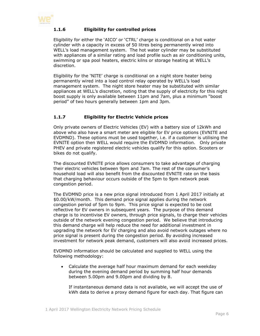<span id="page-5-0"></span>

# **1.1.6 Eligibility for controlled prices**

Eligibility for either the 'AICO' or 'CTRL' charge is conditional on a hot water cylinder with a capacity in excess of 50 litres being permanently wired into WELL's load management system. The hot water cylinder may be substituted with appliances of a similar rating and load profile such as air conditioning units, swimming or spa pool heaters, electric kilns or storage heating at WELL's discretion.

Eligibility for the 'NITE' charge is conditional on a night store heater being permanently wired into a load control relay operated by WELL's load management system. The night store heater may be substituted with similar appliances at WELL's discretion, noting that the supply of electricity for this night boost supply is only available between 11pm and 7am, plus a minimum "boost period" of two hours generally between 1pm and 3pm.

# <span id="page-5-1"></span>**1.1.7 Eligibility for Electric Vehicle prices**

Only private owners of Electric Vehicles (EV) with a battery size of 12kWh and above who also have a smart meter are eligible for EV price options (EVNITE and EVDMND). These options must be used together, i.e. if a customer is utilising the EVNITE option then WELL would require the EVDMND information. Only private PHEV and private registered electric vehicles qualify for this option. Scooters or bikes do not qualify.

The discounted EVNITE price allows consumers to take advantage of charging their electric vehicles between 9pm and 7am. The rest of the consumer's household load will also benefit from the discounted EVNITE rate on the basis that charging behaviour occurs outside of the 5pm to 9pm network peak congestion period.

The EVDMND price is a new price signal introduced from 1 April 2017 initially at \$0.00/kW/month. This demand price signal applies during the network congestion period of 5pm to 9pm. This price signal is expected to be cost reflective for EV owners in subsequent years. The purpose of this demand charge is to incentivise EV owners, through price signals, to charge their vehicles outside of the network evening congestion period. We believe that introducing this demand charge will help reduce the need for additional investment in upgrading the network for EV charging and also avoid network outages where no price signal is present during the congestion period. By avoiding increased investment for network peak demand, customers will also avoid increased prices.

EVDMND information should be calculated and supplied to WELL using the following methodology:

 Calculate the average half hour maximum demand for each weekday during the evening demand period by summing half hour demands between 5.00pm and 9.00pm and dividing by 8.

If instantaneous demand data is not available, we will accept the use of kWh data to derive a proxy demand figure for each day. That figure can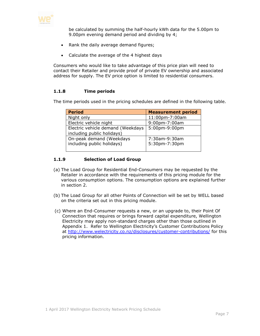

be calculated by summing the half-hourly kWh data for the 5.00pm to 9.00pm evening demand period and dividing by 4;

- Rank the daily average demand figures;
- Calculate the average of the 4 highest days

Consumers who would like to take advantage of this price plan will need to contact their Retailer and provide proof of private EV ownership and associated address for supply. The EV price option is limited to residential consumers.

#### <span id="page-6-0"></span>**1.1.8 Time periods**

The time periods used in the pricing schedules are defined in the following table.

| <b>Period</b>                     | <b>Measurement period</b> |  |
|-----------------------------------|---------------------------|--|
| Night only                        | 11:00pm-7:00am            |  |
| Electric vehicle night            | 9:00pm-7:00am             |  |
| Electric vehicle demand (Weekdays | 5:00pm-9:00pm             |  |
| including public holidays)        |                           |  |
| On-peak demand (Weekdays          | 7:30am-9:30am             |  |
| including public holidays)        | 5:30pm-7:30pm             |  |
|                                   |                           |  |

#### <span id="page-6-1"></span>**1.1.9 Selection of Load Group**

- (a) The Load Group for Residential End-Consumers may be requested by the Retailer in accordance with the requirements of this pricing module for the various consumption options. The consumption options are explained further in section 2.
- (b) The Load Group for all other Points of Connection will be set by WELL based on the criteria set out in this pricing module.
- (c) Where an End-Consumer requests a new, or an upgrade to, their Point Of Connection that requires or brings forward capital expenditure, Wellington Electricity may apply non-standard charges other than those outlined in Appendix 1. Refer to Wellington Electricity's Customer Contributions Policy at <http://www.welectricity.co.nz/disclosures/customer-contributions/> for this pricing information.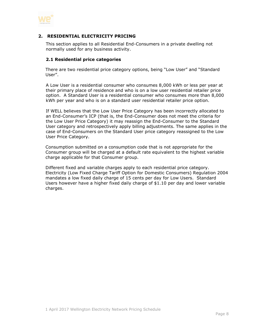

#### <span id="page-7-0"></span>**2. RESIDENTIAL ELECTRICITY PRICING**

This section applies to all Residential End-Consumers in a private dwelling not normally used for any business activity.

#### <span id="page-7-1"></span>**2.1 Residential price categories**

There are two residential price category options, being "Low User" and "Standard User".

A Low User is a residential consumer who consumes 8,000 kWh or less per year at their primary place of residence and who is on a low user residential retailer price option. A Standard User is a residential consumer who consumes more than 8,000 kWh per year and who is on a standard user residential retailer price option.

If WELL believes that the Low User Price Category has been incorrectly allocated to an End-Consumer's ICP (that is, the End-Consumer does not meet the criteria for the Low User Price Category) it may reassign the End-Consumer to the Standard User category and retrospectively apply billing adjustments. The same applies in the case of End-Consumers on the Standard User price category reassigned to the Low User Price Category.

Consumption submitted on a consumption code that is not appropriate for the Consumer group will be charged at a default rate equivalent to the highest variable charge applicable for that Consumer group.

<span id="page-7-2"></span>Different fixed and variable charges apply to each residential price category. Electricity (Low Fixed Charge Tariff Option for Domestic Consumers) Regulation 2004 mandates a low fixed daily charge of 15 cents per day for Low Users. Standard Users however have a higher fixed daily charge of \$1.10 per day and lower variable charges.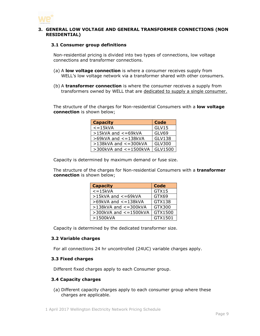

#### <span id="page-8-0"></span>**3. GENERAL LOW VOLTAGE AND GENERAL TRANSFORMER CONNECTIONS (NON RESIDENTIAL)**

#### **3.1 Consumer group definitions**

Non-residential pricing is divided into two types of connections, low voltage connections and transformer connections.

- (a) A **low voltage connection** is where a consumer receives supply from WELL's low voltage network via a transformer shared with other consumers.
- (b) A **transformer connection** is where the consumer receives a supply from transformers owned by WELL that are dedicated to supply a single consumer.

The structure of the charges for Non-residential Consumers with a **low voltage connection** is shown below;

| <b>Capacity</b>             | <b>Code</b>   |
|-----------------------------|---------------|
| $\overline{\le}$ = 15kVA    | GLV15         |
| >15kVA and <= 69kVA         | GLV69         |
| >69kVA and <= 138kVA        | <b>GLV138</b> |
| $>138$ kVA and $<=300$ kVA  | GLV300        |
| $>$ 300kVA and $<=$ 1500kVA | GLV1500       |

Capacity is determined by maximum demand or fuse size.

The structure of the charges for Non-residential Consumers with a **transformer connection** is shown below;

| <b>Capacity</b>              | <b>Code</b> |
|------------------------------|-------------|
| $\epsilon = 15$ kVA          | GTX15       |
| $>15kVA$ and $<=69kVA$       | GTX69       |
| $>69$ kVA and $<=138$ kVA    | GTX138      |
| $>138$ kVA and $<=300$ kVA   | GTX300      |
| $>$ 300kVA and $<$ = 1500kVA | GTX1500     |
| >1500kVA                     | GTX1501     |

Capacity is determined by the dedicated transformer size.

#### <span id="page-8-1"></span>**3.2 Variable charges**

For all connections 24 hr uncontrolled (24UC) variable charges apply.

#### <span id="page-8-2"></span>**3.3 Fixed charges**

Different fixed charges apply to each Consumer group.

#### <span id="page-8-3"></span>**3.4 Capacity charges**

(a) Different capacity charges apply to each consumer group where these charges are applicable.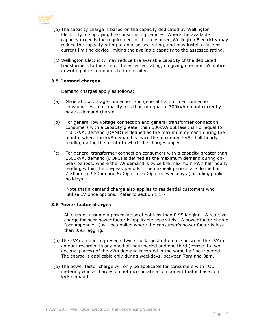

- (b) The capacity charge is based on the capacity dedicated by Wellington Electricity to supplying the consumer's premises. Where the available capacity exceeds the requirement of the consumer, Wellington Electricity may reduce the capacity rating to an assessed rating, and may install a fuse or current limiting device limiting the available capacity to the assessed rating.
- (c) Wellington Electricity may reduce the available capacity of the dedicated transformers to the size of the assessed rating, on giving one month's notice in writing of its intentions to the retailer.

#### <span id="page-9-0"></span>**3.5 Demand charges**

Demand charges apply as follows:

- (a) General low voltage connection and general transformer connection consumers with a capacity less than or equal to 300kVA do not currently have a demand charge.
- (b) For general low voltage connection and general transformer connection consumers with a capacity greater than 300kVA but less than or equal to 1500kVA, demand (DAMD) is defined as the maximum demand during the month, where the kVA demand is twice the maximum kVAh half hourly reading during the month to which the charges apply.
- (c) For general transformer connection consumers with a capacity greater than 1500kVA, demand (DOPC) is defined as the maximum demand during onpeak periods, where the kW demand is twice the maximum kWh half hourly reading within the on-peak periods. The on-peak periods are defined as 7:30am to 9:30am and 5:30pm to 7:30pm on weekdays (including public holidays).

Note that a demand charge also applies to residential customers who utilise EV price options. Refer to section 1.1.7

#### <span id="page-9-1"></span>**3.6 Power factor charges**

All charges assume a power factor of not less than 0.95 lagging. A reactive charge for poor power factor is applicable separately. A power factor charge (per Appendix 1) will be applied where the consumer's power factor is less than 0.95 lagging.

- (a) The kVAr amount represents twice the largest difference between the kVArh amount recorded in any one half hour period and one third (correct to two decimal places) of the kWh demand recorded in the same half hour period. The charge is applicable only during weekdays, between 7am and 8pm.
- (b) The power factor charge will only be applicable for consumers with TOU metering whose charges do not incorporate a component that is based on kVA demand.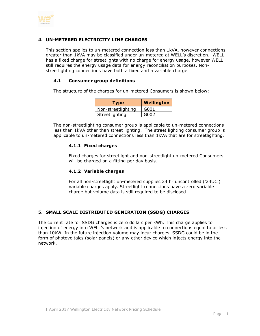

# <span id="page-10-0"></span>**4. UN-METERED ELECTRICITY LINE CHARGES**

This section applies to un-metered connection less than 1kVA, however connections greater than 1kVA may be classified under un-metered at WELL's discretion. WELL has a fixed charge for streetlights with no charge for energy usage, however WELL still requires the energy usage data for energy reconciliation purposes. Nonstreetlighting connections have both a fixed and a variable charge.

#### <span id="page-10-1"></span>**4.1 Consumer group definitions**

The structure of the charges for un-metered Consumers is shown below:

| <b>Type</b>        | <b>Wellington</b> |
|--------------------|-------------------|
| Non-streetlighting | G001              |
| Streetlighting     | G002              |

<span id="page-10-2"></span>The non-streetlighting consumer group is applicable to un-metered connections less than 1kVA other than street lighting. The street lighting consumer group is applicable to un-metered connections less than 1kVA that are for streetlighting.

#### **4.1.1 Fixed charges**

Fixed charges for streetlight and non-streetlight un-metered Consumers will be charged on a fitting per day basis.

#### <span id="page-10-3"></span>**4.1.2 Variable charges**

For all non-streetlight un-metered supplies 24 hr uncontrolled ('24UC') variable charges apply. Streetlight connections have a zero variable charge but volume data is still required to be disclosed.

# <span id="page-10-4"></span>**5. SMALL SCALE DISTRIBUTED GENERATION (SSDG) CHARGES**

<span id="page-10-5"></span>The current rate for SSDG charges is zero dollars per kWh. This charge applies to injection of energy into WELL's network and is applicable to connections equal to or less than 10kW. In the future injection volume may incur charges. SSDG could be in the form of photovoltaics (solar panels) or any other device which injects energy into the network.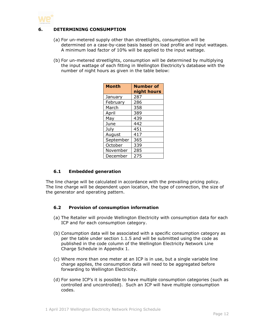

# **6. DETERMINING CONSUMPTION**

- (a) For un-metered supply other than streetlights, consumption will be determined on a case-by-case basis based on load profile and input wattages. A minimum load factor of 10% will be applied to the input wattage.
- (b) For un-metered streetlights, consumption will be determined by multiplying the input wattage of each fitting in Wellington Electricity's database with the number of night hours as given in the table below:

| <b>Month</b> | <b>Number of</b><br>night hours |
|--------------|---------------------------------|
| January      | 287                             |
| February     | 286                             |
| March        | 358                             |
| April        | 389                             |
| May          | 439                             |
| June         | 442                             |
| July         | 451                             |
| August       | 417                             |
| September    | 365                             |
| October      | 339                             |
| November     | 285                             |
| December     | 275                             |

# <span id="page-11-0"></span>**6.1 Embedded generation**

The line charge will be calculated in accordance with the prevailing pricing policy. The line charge will be dependent upon location, the type of connection, the size of the generator and operating pattern.

#### <span id="page-11-1"></span>**6.2 Provision of consumption information**

- (a) The Retailer will provide Wellington Electricity with consumption data for each ICP and for each consumption category.
- (b) Consumption data will be associated with a specific consumption category as per the table under section 1.1.5 and will be submitted using the code as published in the code column of the Wellington Electricity Network Line Charge Schedule in Appendix 1.
- (c) Where more than one meter at an ICP is in use, but a single variable line charge applies, the consumption data will need to be aggregated before forwarding to Wellington Electricity.
- (d) For some ICP's it is possible to have multiple consumption categories (such as controlled and uncontrolled). Such an ICP will have multiple consumption codes.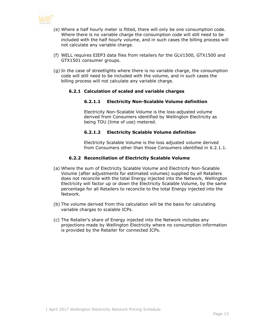

- (e) Where a half hourly meter is fitted, there will only be one consumption code. Where there is no variable charge the consumption code will still need to be included with the half hourly volume, and in such cases the billing process will not calculate any variable charge.
- (f) WELL requires EIEP3 data files from retailers for the GLV1500, GTX1500 and GTX1501 consumer groups.
- <span id="page-12-0"></span>(g) In the case of streetlights where there is no variable charge, the consumption code will still need to be included with the volume, and in such cases the billing process will not calculate any variable charge.

#### **6.2.1 Calculation of scaled and variable charges**

#### **6.2.1.1 Electricity Non-Scalable Volume definition**

Electricity Non-Scalable Volume is the loss-adjusted volume derived from Consumers identified by Wellington Electricity as being TOU (time of use) metered.

#### **6.2.1.2 Electricity Scalable Volume definition**

Electricity Scalable Volume is the loss adjusted volume derived from Consumers other than those Consumers identified in 6.2.1.1.

#### **6.2.2 Reconciliation of Electricity Scalable Volume**

- <span id="page-12-1"></span>(a) Where the sum of Electricity Scalable Volume and Electricity Non-Scalable Volume (after adjustments for estimated volumes) supplied by all Retailers does not reconcile with the total Energy injected into the Network, Wellington Electricity will factor up or down the Electricity Scalable Volume, by the same percentage for all Retailers to reconcile to the total Energy injected into the Network.
- (b) The volume derived from this calculation will be the basis for calculating variable charges to scalable ICPs.
- (c) The Retailer's share of Energy injected into the Network includes any projections made by Wellington Electricity where no consumption information is provided by the Retailer for connected ICPs.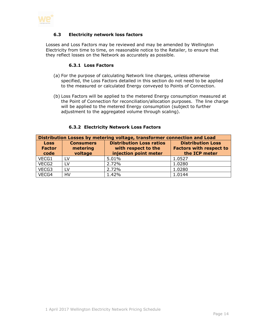<span id="page-13-0"></span>

#### **6.3 Electricity network loss factors**

<span id="page-13-1"></span>Losses and Loss Factors may be reviewed and may be amended by Wellington Electricity from time to time, on reasonable notice to the Retailer, to ensure that they reflect losses on the Network as accurately as possible.

#### **6.3.1 Loss Factors**

- (a) For the purpose of calculating Network line charges, unless otherwise specified, the Loss Factors detailed in this section do not need to be applied to the measured or calculated Energy conveyed to Points of Connection.
- (b) Loss Factors will be applied to the metered Energy consumption measured at the Point of Connection for reconciliation/allocation purposes. The line charge will be applied to the metered Energy consumption (subject to further adjustment to the aggregated volume through scaling).

<span id="page-13-2"></span>

| Distribution Losses by metering voltage, transformer connection and Load |                                         |                                                                                 |                                                                             |  |
|--------------------------------------------------------------------------|-----------------------------------------|---------------------------------------------------------------------------------|-----------------------------------------------------------------------------|--|
| <b>Loss</b><br><b>Factor</b><br>code                                     | <b>Consumers</b><br>metering<br>voltage | <b>Distribution Loss ratios</b><br>with respect to the<br>injection point meter | <b>Distribution Loss</b><br><b>Factors with respect to</b><br>the ICP meter |  |
| VECG1                                                                    | LV.                                     | 5.01%                                                                           | 1.0527                                                                      |  |
| VECG2                                                                    | LV.                                     | 2.72%                                                                           | 1.0280                                                                      |  |
| VECG3                                                                    | LV                                      | 2.72%                                                                           | 1.0280                                                                      |  |
| VECG4                                                                    | HV                                      | 1.42%                                                                           | 1.0144                                                                      |  |

#### **6.3.2 Electricity Network Loss Factors**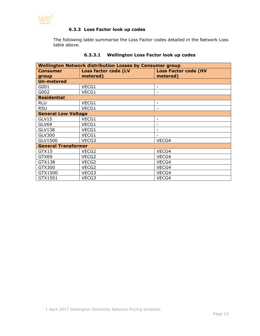<span id="page-14-0"></span>

# **6.3.3 Loss Factor look up codes**

The following table summarise the Loss Factor codes detailed in the Network Loss table above.

| <b>Wellington Network distribution Losses by Consumer group</b> |                             |                             |  |
|-----------------------------------------------------------------|-----------------------------|-----------------------------|--|
| <b>Consumer</b>                                                 | <b>Loss factor code (LV</b> | <b>Loss Factor code (HV</b> |  |
| group                                                           | metered)                    | metered)                    |  |
| <b>Un-metered</b>                                               |                             |                             |  |
| G001                                                            | VECG1                       | $\overline{\phantom{a}}$    |  |
| G002                                                            | VECG1                       | -                           |  |
| <b>Residential</b>                                              |                             |                             |  |
| <b>RLU</b>                                                      | VECG1                       | -                           |  |
| <b>RSU</b>                                                      | VECG1                       |                             |  |
| <b>General Low Voltage</b>                                      |                             |                             |  |
| GLV15                                                           | VECG1                       |                             |  |
| GLV69                                                           | VECG1                       |                             |  |
| <b>GLV138</b>                                                   | VECG1                       | -                           |  |
| <b>GLV300</b>                                                   | VECG1                       |                             |  |
| GLV1500                                                         | VECG3                       | VECG4                       |  |
| <b>General Transformer</b>                                      |                             |                             |  |
| GTX15                                                           | VECG2                       | VECG4                       |  |
| GTX69                                                           | VECG2                       | VECG4                       |  |
| GTX138                                                          | VECG2                       | VECG4                       |  |
| GTX300                                                          | VECG2                       | VECG4                       |  |
| GTX1500                                                         | VECG3                       | VECG4                       |  |
| GTX1501                                                         | VECG3                       | VECG4                       |  |

# **6.3.3.1 Wellington Loss Factor look up codes**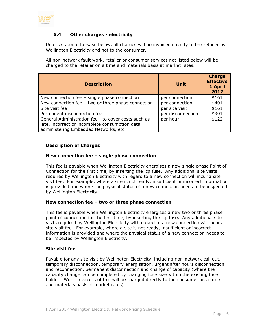

## <span id="page-15-0"></span>**6.4 Other charges - electricity**

Unless stated otherwise below, all charges will be invoiced directly to the retailer by Wellington Electricity and not to the consumer.

All non-network fault work, retailer or consumer services not listed below will be charged to the retailer on a time and materials basis at market rates.

| <b>Description</b>                                                                                                                             | <b>Unit</b>       | <b>Charge</b><br><b>Effective</b><br>1 April<br>2017 |  |
|------------------------------------------------------------------------------------------------------------------------------------------------|-------------------|------------------------------------------------------|--|
| New connection fee $-$ single phase connection                                                                                                 | per connection    | \$161                                                |  |
| New connection fee - two or three phase connection                                                                                             | per connection    | \$401                                                |  |
| Site visit fee                                                                                                                                 | per site visit    | \$161                                                |  |
| Permanent disconnection fee                                                                                                                    | per disconnection | \$301                                                |  |
| General Administration fee - to cover costs such as<br>late, incorrect or incomplete consumption data,<br>administering Embedded Networks, etc | per hour          | \$122                                                |  |

#### **Description of Charges**

#### **New connection fee – single phase connection**

This fee is payable when Wellington Electricity energises a new single phase Point of Connection for the first time, by inserting the icp fuse. Any additional site visits required by Wellington Electricity with regard to a new connection will incur a site visit fee. For example, where a site is not ready, insufficient or incorrect information is provided and where the physical status of a new connection needs to be inspected by Wellington Electricity.

#### **New connection fee – two or three phase connection**

This fee is payable when Wellington Electricity energises a new two or three phase point of connection for the first time, by inserting the icp fuse. Any additional site visits required by Wellington Electricity with regard to a new connection will incur a site visit fee. For example, where a site is not ready, insufficient or incorrect information is provided and where the physical status of a new connection needs to be inspected by Wellington Electricity.

#### **Site visit fee**

Payable for any site visit by Wellington Electricity, including non-network call out, temporary disconnection, temporary energisation, urgent after hours disconnection and reconnection, permanent disconnection and change of capacity (where the capacity change can be completed by changing fuse size within the existing fuse holder. Work in excess of this will be charged directly to the consumer on a time and materials basis at market rates).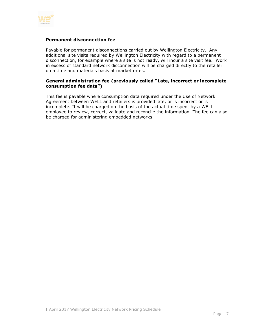

#### **Permanent disconnection fee**

Payable for permanent disconnections carried out by Wellington Electricity. Any additional site visits required by Wellington Electricity with regard to a permanent disconnection, for example where a site is not ready, will incur a site visit fee. Work in excess of standard network disconnection will be charged directly to the retailer on a time and materials basis at market rates.

#### **General administration fee (previously called "Late, incorrect or incomplete consumption fee data")**

This fee is payable where consumption data required under the Use of Network Agreement between WELL and retailers is provided late, or is incorrect or is incomplete. It will be charged on the basis of the actual time spent by a WELL employee to review, correct, validate and reconcile the information. The fee can also be charged for administering embedded networks.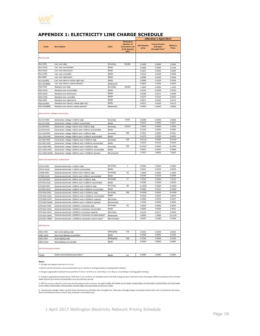

#### <span id="page-17-0"></span>**APPENDIX 1: ELECTRICITY LINE CHARGE SCHEDULE**

|                               |                                                                     |                |                                                                        | effective 1 April 2017       |                                                               |                          |
|-------------------------------|---------------------------------------------------------------------|----------------|------------------------------------------------------------------------|------------------------------|---------------------------------------------------------------|--------------------------|
| Code                          | <b>Description</b>                                                  | <b>Units</b>   | <b>Estimated</b><br>number of<br>consumers as<br>at 31 January<br>2017 | <b>Distribution</b><br>price | <b>Transmission</b><br>and pass<br>through Price <sup>6</sup> | <b>Delivery</b><br>Price |
| <b>Residential</b>            |                                                                     |                |                                                                        |                              |                                                               |                          |
| <b>RLU-FIXD</b>               | Low user daily                                                      | \$/con/day     | 89,686                                                                 | 0.1500                       | 0.0000                                                        | 0.1500                   |
| RLU-24UC                      | Low user uncontrolled                                               | \$/kWh         |                                                                        | 0.0468                       | 0.0690                                                        | 0.1158                   |
| RLU-AICO                      | Low user all inclusive                                              | \$/kWh         |                                                                        | 0.0367                       | 0.0562                                                        | 0.0929                   |
| <b>RLU-CTRL</b>               | Low user controlled                                                 | \$/kWh         |                                                                        | 0.0219                       | 0.0339                                                        | 0.0558                   |
| <b>RLU-NITE</b>               | Low user night boost                                                | \$/kWh         |                                                                        | 0.0080                       | 0.0109                                                        | 0.0189                   |
| <b>RLU-EVNITE</b>             | Low user electric vehicle night only                                | \$/kWh         |                                                                        | 0.0080                       | 0.0109                                                        | 0.0189                   |
| <b>RLU-EVDMND</b>             | Low user electric vehicle demand <sup>8</sup>                       | \$/kW/month    |                                                                        | 0.0000                       | 0.0000                                                        | 0.0000                   |
| <b>RSU-FIXD</b>               | Standard user daily                                                 | \$/con/day     | 59,808                                                                 | 1.1000                       | 0.0000                                                        | 1.1000                   |
| RSU-24UC                      | Standard user uncontrolled                                          | \$/kWh         |                                                                        | 0.0316                       | 0.0409                                                        | 0.0725                   |
| RSU-AICO                      | Standard user all inclusive                                         | \$/kWh         |                                                                        | 0.0228                       | 0.0271                                                        | 0.0499                   |
| RSU-CTRL                      | Standard user controlled                                            | \$/kWh         |                                                                        | 0.0107                       | 0.0115                                                        | 0.0222                   |
| <b>RSU-NITE</b>               | Standard user night boost                                           | \$/kWh         |                                                                        | 0.0071                       | 0.0102                                                        | 0.0173                   |
| RSU-EVNITE                    | Standard user electric vehicle night only                           | \$/kWh         |                                                                        | 0.0071                       | 0.0102                                                        | 0.0173                   |
| RSU-EVDMND                    | Standard user electric vehicle demand <sup>2</sup>                  | \$/kW/month    |                                                                        | 0.0000                       | 0.0000                                                        | 0.0000                   |
|                               | General low voltage connection                                      |                |                                                                        |                              |                                                               |                          |
| GLV15-FIXD                    | General low voltage <= 15kVA daily                                  | \$/con/day     | 5,032                                                                  | 0.6268                       | 0.0000                                                        | 0.6268                   |
| GLV15-24UC                    | General low voltage <= 15kVA uncontrolled                           | \$/kWh         |                                                                        | 0.0207                       | 0.0360                                                        | 0.0567                   |
| GLV69-FIXD                    | General low voltage >15kVA and <= 69kVA daily                       | \$/con/day     | 10,013                                                                 | 1.5504                       | 0.0000                                                        | 1.5504                   |
| GLV69-24UC                    | General low voltage >15kVA and <= 69kVA uncontrolled                | \$/kWh         |                                                                        | 0.0143                       | 0.0250                                                        | 0.0393                   |
| GLV138-FIXD                   | General low voltage >69kVA and <= 138kVA daily                      | \$/con/day     | 385                                                                    | 8.7851                       | 0.0000                                                        | 8.7851                   |
| GLV138-24UC                   | General low voltage >69kVA and <= 138kVA uncontrolled               | \$/kWh         |                                                                        | 0.0170                       | 0.0295                                                        | 0.0465                   |
| GLV300-FIXD                   | General low voltage >138kVA and <= 300kVA daily                     | \$/con/day     | 320                                                                    | 12.5144                      | 0.0000                                                        | 12.5144                  |
| GLV300-24UC                   | General low voltage >138kVA and <= 300kVA uncontrolled              | \$/kWh         |                                                                        | 0.0070                       | 0.0123                                                        | 0.0193                   |
| GLV1500-FIXD                  | General low voltage >300kVA and <= 1500kVA daily                    | \$/con/day     | 240                                                                    | 31.5561                      | 0.0000                                                        | 31.5561                  |
| GIV1500-24UC                  | General low voltage >300kVA and <= 1500kVA uncontrolled             | \$/kWh         |                                                                        | 0.0031                       | 0.0055                                                        | 0.0086                   |
| GLV1500-DAMD                  | General low voltage >300kVA and <= 1500kVA demand                   | \$/kVA/month   |                                                                        | 2.7627                       | 4.8915                                                        | 7.6542                   |
|                               | General transformer connection                                      |                |                                                                        |                              |                                                               |                          |
| GTX15-FIXD                    | General transformer <= 15kVA daily                                  | \$/con/day     | 1                                                                      | 0.5690                       | 0.0000                                                        | 0.5690                   |
| GTX15-24UC                    | General transformer <= 15kVA uncontrolled                           | \$/kWh         |                                                                        | 0.0201                       | 0.0328                                                        | 0.0529                   |
| GTX69-FIXD                    | General transformer >15kVA and <= 69kVA daily                       | \$/con/day     | 16                                                                     | 1.4069                       | 0.0000                                                        | 1.4069                   |
| GTX69-24UC                    | General transformer >15kVA and <= 69kVA uncontrolled                | \$/kWh         |                                                                        | 0.0140                       | 0.0229                                                        | 0.0369                   |
| GTX138-FIXD                   | General transformer >69kVA and <= 138kVA daily                      | \$/con/day     | 17                                                                     | 7.9715                       | 0.0000                                                        | 7.9715                   |
| GTX138-24UC                   | General transformer >69kVA and <= 138kVA uncontrolled               | \$/kWh         |                                                                        | 0.0166                       | 0.0269                                                        | 0.0435                   |
| GTX300-FIXD                   | General transformer >138kVA and <= 300kVA daily                     | \$/con/day     | 89                                                                     | 11.3555                      | 0.0000                                                        | 11.3555                  |
| GTX300-24UC                   | General transformer >138kVA and <= 300kVA uncontrolled              | \$/kWh         |                                                                        | 0.0069                       | 0.0111                                                        | 0.0180                   |
| GTX1500-FIXD                  | General transformer >300kVA and <= 1500kVA daily                    | \$/con/day     | 188                                                                    | 24.5009                      | 0.0000                                                        | 24,5009                  |
| GTX1500-24UC                  | General transformer >300kVA and <= 1500kVA uncontrolled             | \$/kWh         |                                                                        | 0.0026                       | 0.0044                                                        | 0.0070                   |
| GTX1500-CAPY                  | General transformer >300kVA and <= 1500kVA capacity                 | \$/kVA/day     |                                                                        | 0.0063                       | 0.0104                                                        | 0.0167                   |
| GTX1500-DAMD                  | General transformer >300kVA and <= 1500kVA demand                   | \$/kVA/month   |                                                                        | 2.4243                       | 4.0093                                                        | 6.4336                   |
| GTX1501-FIXD                  | General transformer >1500kVA connection daily                       | \$/con/day     | 34                                                                     | 0.0545                       | 0.0000                                                        | 0.0545                   |
| GTX1501-24UC                  | General transformer >1500kVA connection uncontrolled                | \$/kWh         |                                                                        | 0.0006                       | 0.0009                                                        | 0.0015                   |
| GTX1501-CAPY                  | General transformer >1500kVA connection capacity                    | \$/kVA/day     |                                                                        | 0.0119                       | 0.0177                                                        | 0.0296                   |
| GTX1501-DOPC                  | General transformer >1500kVA connection on-peak demand <sup>3</sup> | \$/kW/month    |                                                                        | 4.8536                       | 7.2683                                                        | 12.1219                  |
| GTX1501-PWRF                  | General transformer, >1500kVA connection, pow er factor             | \$/kV Ar/month |                                                                        | 3.5047                       | 5.2483                                                        | 8.7530                   |
| <b>Unmetered</b>              |                                                                     |                |                                                                        |                              |                                                               |                          |
| G001-FIXD                     | Non-street lighting daily                                           | \$/fitting/day | 278                                                                    | 0.0432                       | 0.0000                                                        | 0.0432                   |
| G001-24UC                     | Non-street lighting uncontrolled                                    | \$/kWh         |                                                                        | 0.0549                       | 0.0854                                                        | 0.1403                   |
| G002-FIXD                     | Street lighting daily                                               | \$/fitting/day | 336                                                                    | 0.1246                       | 0.0938                                                        | 0.2184                   |
| G002-24UC                     | Street lighting uncontrolled                                        | \$/kWh         |                                                                        | 0.0000                       | 0.0000                                                        | 0.0000                   |
| <b>Distributed generation</b> |                                                                     |                |                                                                        |                              |                                                               |                          |
| *DGEN                         | Small scale distributed generation <sup>6</sup>                     | \$/kWh         | n/a                                                                    | 0.0000                       | 0.0000                                                        | 0.0000                   |
|                               |                                                                     |                |                                                                        |                              |                                                               |                          |

**Notes:**

1. EV night rate applies from 9 p.m. to 7 a.m.

2. Electric vehicle demand is measured between 5 p.m. and 9 p.m. during weekdays including public holidays.

3. Charge is applicable to demand measured from 7.30 a.m. to 9.30 a.m. and 5.30 p.m. to 7.30 p.m. on weekdays including public holidays.

2. Electric vehicle demand is measured between 5 p.m. and 9 p.m. during weekdays including public holidays.<br>3. Charge is applicable to demand measured from 7.30 a.m. to 9.30 a.m. and 5.30 p.m. to 7.30 p.m. on weekdays incl 5. Charge is applicable to demantumeasured nonry.30 a.m. to 9.50 a.m. and 3.50 p.m. to 7.50 p.m. on weekaays including public holidary.<br>4. Charge is applicable for power factor <0.59 from 7 a.m. to 8 p.m. on weekdays where

kVArh and one third of the recorded kWh in any one half-hour period.<br>5. WE\* has various codes for small scale distributed generation volumes, being RLU-DGEN, GLV15-DGEN, GLV39-DGEN, GLV300-DGEN, GLV1500-DGEN, GLV1500-DGEN, 5. WE\* has various codes for small scale distributed generation volumes, being RLU-DGEN, RSU-DGEN, GLV5-DGEN, GLV69-DGEN, GLV300-DGEN, GLV1500-DGEN, GLV300-DGEN, GLV300-DGEN, GLV300-DGEN, GLV300-DGEN, GLV300-DGEN, GLV300-D